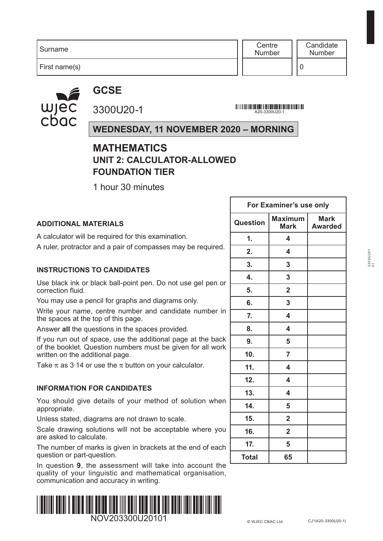First name(s)

**Centre** Number

#### **GCSE**



3300U20-1

**A20-3300U20-1**<br>A20-3300U20-1

**For Examiner's use only**

#### **WEDNESDAY, 11 NOVEMBER 2020 – MORNING**

#### **MATHEMATICS UNIT 2: CALCULATOR-ALLOWED FOUNDATION TIER**

1 hour 30 minutes

|                                                                                                                             | For Examiner's use only |                               |                               |  |  |
|-----------------------------------------------------------------------------------------------------------------------------|-------------------------|-------------------------------|-------------------------------|--|--|
| <b>ADDITIONAL MATERIALS</b>                                                                                                 | <b>Question</b>         | <b>Maximum</b><br><b>Mark</b> | <b>Mark</b><br><b>Awarded</b> |  |  |
| A calculator will be required for this examination.                                                                         | 1.                      | 4                             |                               |  |  |
| A ruler, protractor and a pair of compasses may be required.                                                                | 2.                      | 4                             |                               |  |  |
| <b>INSTRUCTIONS TO CANDIDATES</b>                                                                                           | 3.                      | 3                             |                               |  |  |
|                                                                                                                             | 4.                      | 3                             |                               |  |  |
| Use black ink or black ball-point pen. Do not use gel pen or<br>correction fluid.                                           | 5.                      | $\overline{2}$                |                               |  |  |
| You may use a pencil for graphs and diagrams only.                                                                          | 6.                      | 3                             |                               |  |  |
| Write your name, centre number and candidate number in<br>the spaces at the top of this page.                               | $\overline{7}$ .        | 4                             |                               |  |  |
| Answer all the questions in the spaces provided.                                                                            | 8.                      | 4                             |                               |  |  |
| If you run out of space, use the additional page at the back<br>of the booklet. Question numbers must be given for all work | 9.                      | 5                             |                               |  |  |
| written on the additional page.                                                                                             | 10 <sub>1</sub>         | $\overline{7}$                |                               |  |  |
| Take $\pi$ as 3.14 or use the $\pi$ button on your calculator.                                                              | 11.                     | 4                             |                               |  |  |
|                                                                                                                             | 12.                     | 4                             |                               |  |  |
| <b>INFORMATION FOR CANDIDATES</b>                                                                                           | 13.                     | 4                             |                               |  |  |
| You should give details of your method of solution when<br>appropriate.                                                     | 14.                     | 5                             |                               |  |  |
| Unless stated, diagrams are not drawn to scale.                                                                             | 15.                     | $\overline{2}$                |                               |  |  |
| Scale drawing solutions will not be acceptable where you<br>are asked to calculate.                                         | 16.                     | $\overline{2}$                |                               |  |  |
| The number of marks is given in brackets at the end of each<br>question or part-question.                                   | 17.<br><b>Total</b>     | 5<br>65                       |                               |  |  |
| In question 9, the assessment will take into account the                                                                    |                         |                               |                               |  |  |

quality of your linguistic and mathematical organisation, communication and accuracy in writing.

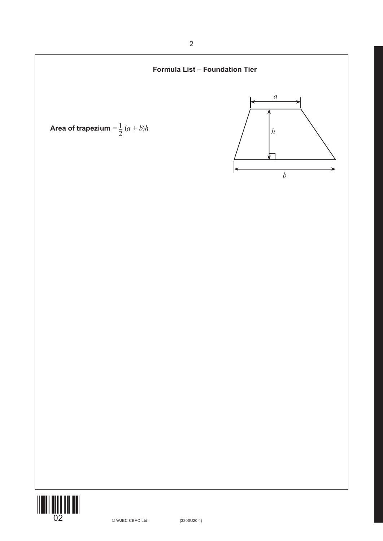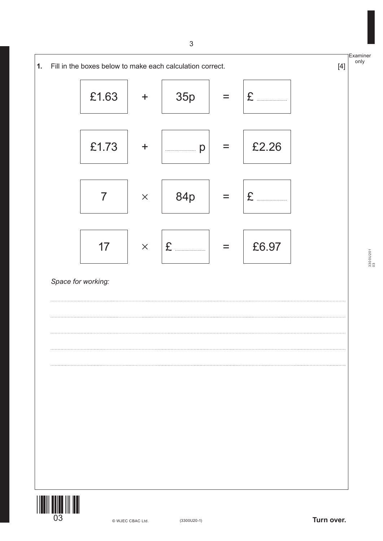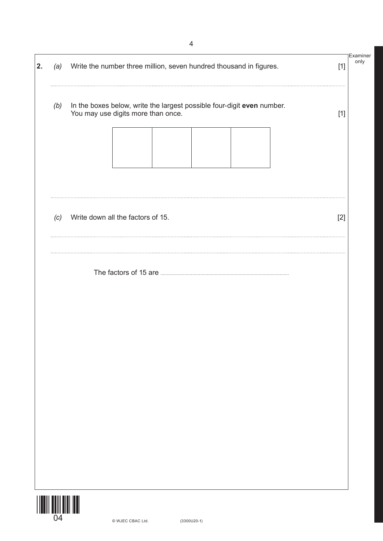| 2. | (a) | Write the number three million, seven hundred thousand in figures.                                           | Examiner<br>only<br>$[1]$ |
|----|-----|--------------------------------------------------------------------------------------------------------------|---------------------------|
|    | (b) | In the boxes below, write the largest possible four-digit even number.<br>You may use digits more than once. | $[1]$                     |
|    | (c) | Write down all the factors of 15.                                                                            | $[2]$                     |
|    |     |                                                                                                              |                           |
|    |     |                                                                                                              |                           |
|    |     |                                                                                                              |                           |
|    |     |                                                                                                              |                           |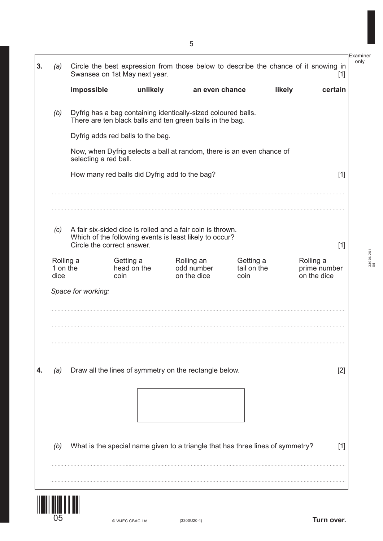| (a)  | Swansea on 1st May next year.                                                  |                                                                                                                            |                                         |                                  | Circle the best expression from those below to describe the chance of it snowing in | $\lceil 1 \rceil$ |
|------|--------------------------------------------------------------------------------|----------------------------------------------------------------------------------------------------------------------------|-----------------------------------------|----------------------------------|-------------------------------------------------------------------------------------|-------------------|
|      | impossible                                                                     | unlikely                                                                                                                   | an even chance                          |                                  | likely<br>certain                                                                   |                   |
| (b)  |                                                                                | Dyfrig has a bag containing identically-sized coloured balls.<br>There are ten black balls and ten green balls in the bag. |                                         |                                  |                                                                                     |                   |
|      | Dyfrig adds red balls to the bag.                                              |                                                                                                                            |                                         |                                  |                                                                                     |                   |
|      | selecting a red ball.                                                          | Now, when Dyfrig selects a ball at random, there is an even chance of                                                      |                                         |                                  |                                                                                     |                   |
|      |                                                                                | How many red balls did Dyfrig add to the bag?                                                                              |                                         |                                  |                                                                                     | $[1]$             |
| (c)  | Circle the correct answer.                                                     | A fair six-sided dice is rolled and a fair coin is thrown.<br>Which of the following events is least likely to occur?      |                                         |                                  |                                                                                     | $[1]$             |
| dice | Rolling a<br>1 on the<br>coin                                                  | Getting a<br>head on the                                                                                                   | Rolling an<br>odd number<br>on the dice | Getting a<br>tail on the<br>coin | Rolling a<br>prime number<br>on the dice                                            |                   |
|      | Space for working:                                                             |                                                                                                                            |                                         |                                  |                                                                                     |                   |
| (a)  |                                                                                | Draw all the lines of symmetry on the rectangle below.                                                                     |                                         |                                  |                                                                                     | $[2]$             |
|      |                                                                                |                                                                                                                            |                                         |                                  |                                                                                     |                   |
|      |                                                                                |                                                                                                                            |                                         |                                  |                                                                                     | $[1]$             |
| (b)  | What is the special name given to a triangle that has three lines of symmetry? |                                                                                                                            |                                         |                                  |                                                                                     |                   |

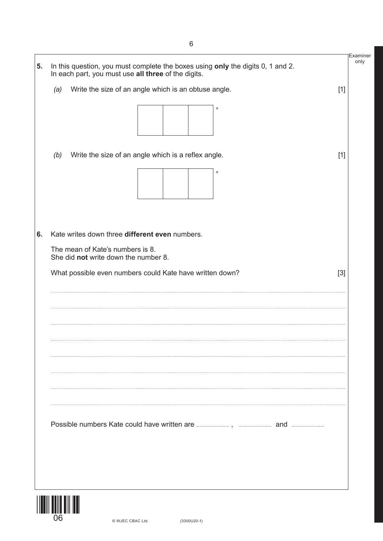|                                                                          | In each part, you must use all three of the digits.      |       |
|--------------------------------------------------------------------------|----------------------------------------------------------|-------|
| (a)                                                                      | Write the size of an angle which is an obtuse angle.     | $[1]$ |
|                                                                          | $\circ$                                                  |       |
| (b)                                                                      | Write the size of an angle which is a reflex angle.      | $[1]$ |
|                                                                          | $\circ$                                                  |       |
|                                                                          | Kate writes down three different even numbers.           |       |
|                                                                          |                                                          |       |
| The mean of Kate's numbers is 8.<br>She did not write down the number 8. |                                                          |       |
|                                                                          | What possible even numbers could Kate have written down? | $[3]$ |
|                                                                          |                                                          |       |
|                                                                          |                                                          |       |
|                                                                          |                                                          |       |
|                                                                          |                                                          |       |
|                                                                          |                                                          |       |
|                                                                          |                                                          |       |
|                                                                          |                                                          |       |
|                                                                          |                                                          |       |
|                                                                          |                                                          |       |
|                                                                          |                                                          |       |
|                                                                          |                                                          |       |

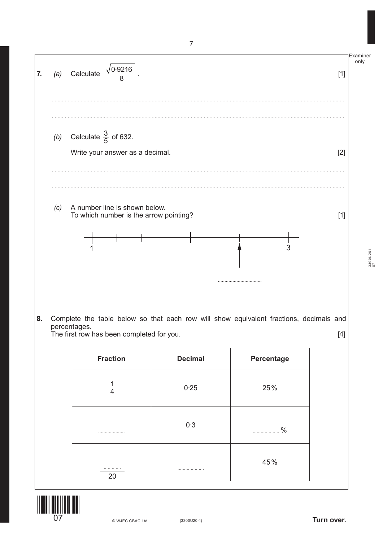

The first row has been completed for you. [4]

| <b>Fraction</b> | <b>Decimal</b> | Percentage        |
|-----------------|----------------|-------------------|
| $\frac{1}{4}$   | 0.25           | 25%               |
|                 | 0.3            | $\frac{0}{0}$<br> |
| <br>20          |                | 45%               |



3300U201 3300U201<br>07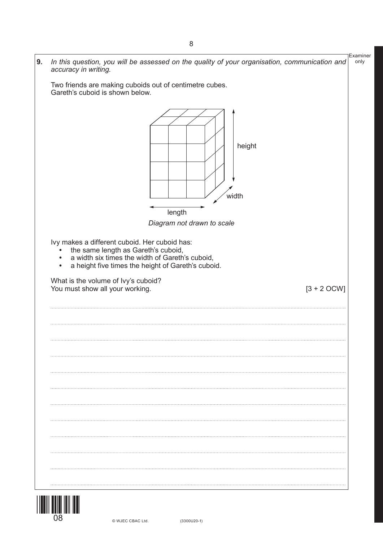Examiner only **9.** *In this question, you will be assessed on the quality of your organisation, communication and accuracy in writing.*  Two friends are making cuboids out of centimetre cubes. Gareth's cuboid is shown below. *Diagram not drawn to scale* Ivy makes a different cuboid. Her cuboid has: **•** the same length as Gareth's cuboid, **•** a width six times the width of Gareth's cuboid, **•** a height five times the height of Gareth's cuboid. What is the volume of Ivy's cuboid? You must show all your working. The same state of the state of  $[3 + 2$  OCW] height width length

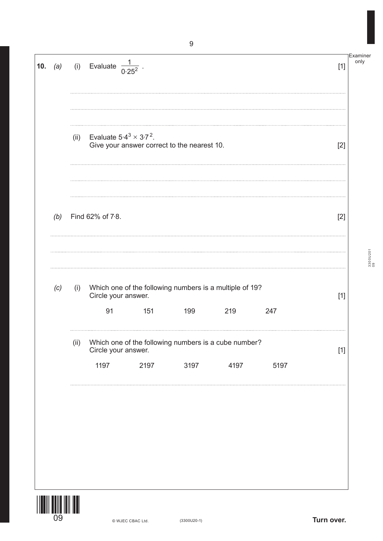|     |      | (i) Evaluate $\frac{1}{0.25^2}$ . |                  |                                                                               |      |                                             | $[1]$                                                                                                           | only     |
|-----|------|-----------------------------------|------------------|-------------------------------------------------------------------------------|------|---------------------------------------------|-----------------------------------------------------------------------------------------------------------------|----------|
|     | (ii) |                                   |                  |                                                                               |      |                                             | $[2]$                                                                                                           |          |
| (b) |      |                                   |                  |                                                                               |      |                                             | $[2]$                                                                                                           |          |
| (c) | (i)  | 91                                | 151              | 199                                                                           | 219  | 247                                         | $[1]$                                                                                                           | 3300U201 |
|     | (ii) |                                   |                  |                                                                               |      |                                             | $[1]$                                                                                                           |          |
|     |      | 1197                              | 2197             | 3197                                                                          | 4197 | 5197                                        |                                                                                                                 |          |
|     |      |                                   |                  |                                                                               |      |                                             |                                                                                                                 |          |
|     |      |                                   | Find 62% of 7.8. | Evaluate $5.4^3 \times 3.7^2$ .<br>Circle your answer.<br>Circle your answer. |      | Give your answer correct to the nearest 10. | Which one of the following numbers is a multiple of 19?<br>Which one of the following numbers is a cube number? |          |

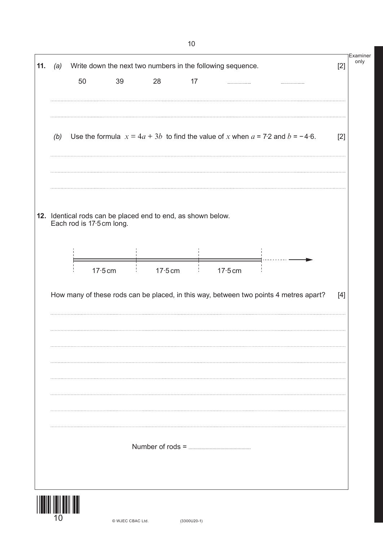|     |                           |           |                                                              |    | Write down the next two numbers in the following sequence.                            |  | $[2]$ |
|-----|---------------------------|-----------|--------------------------------------------------------------|----|---------------------------------------------------------------------------------------|--|-------|
|     | 50                        | 39        | 28                                                           | 17 |                                                                                       |  |       |
| (b) |                           |           |                                                              |    | Use the formula $x = 4a + 3b$ to find the value of x when $a = 7.2$ and $b = -4.6$ .  |  | $[2]$ |
|     | Each rod is 17.5 cm long. |           | 12. Identical rods can be placed end to end, as shown below. |    |                                                                                       |  |       |
|     |                           | $17.5$ cm | $17.5$ cm                                                    |    | $17.5$ cm                                                                             |  |       |
|     |                           |           |                                                              |    |                                                                                       |  |       |
|     |                           |           |                                                              |    | How many of these rods can be placed, in this way, between two points 4 metres apart? |  | $[4]$ |
|     |                           |           |                                                              |    |                                                                                       |  |       |
|     |                           |           |                                                              |    |                                                                                       |  |       |
|     |                           |           |                                                              |    |                                                                                       |  |       |
|     |                           |           |                                                              |    |                                                                                       |  |       |

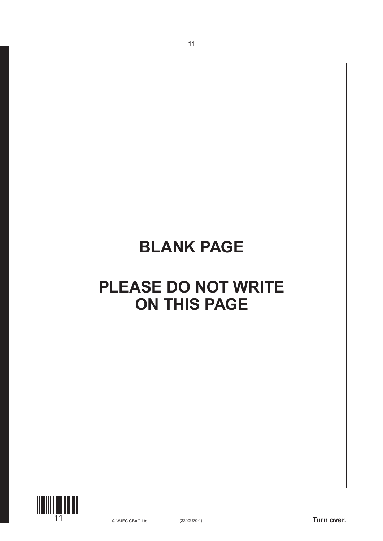# **BLANK PAGE**

11

## **PLEASE DO NOT WRITE ON THIS PAGE**

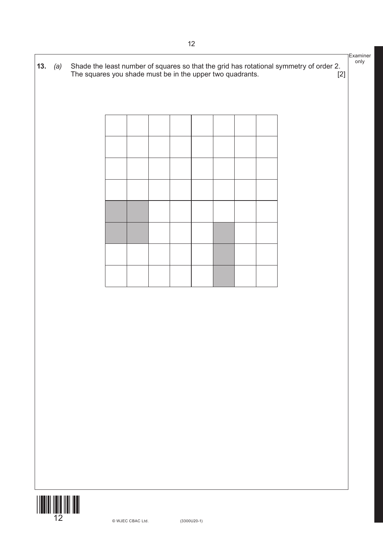

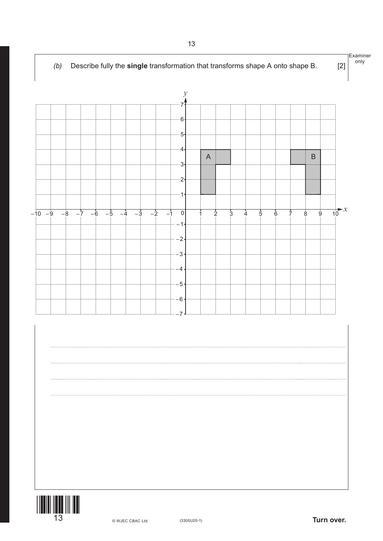

**13**  $\bullet$  WJEC CBAC Ltd. (3300U20-1) **Turn over.**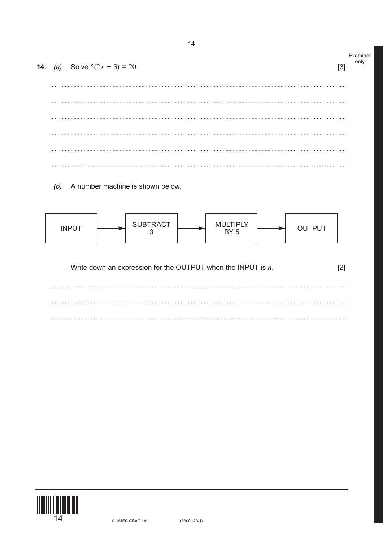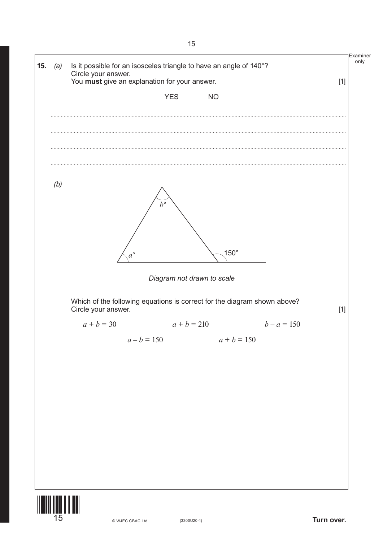

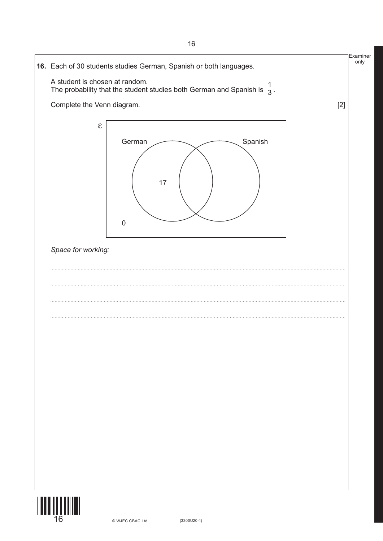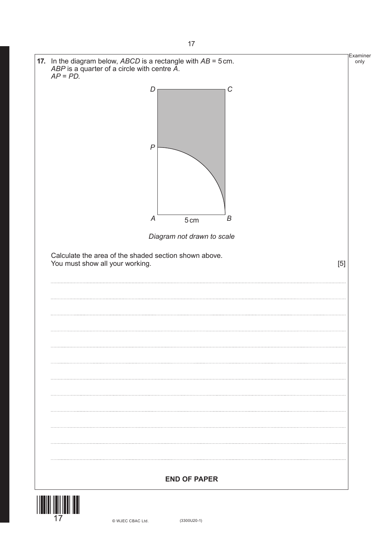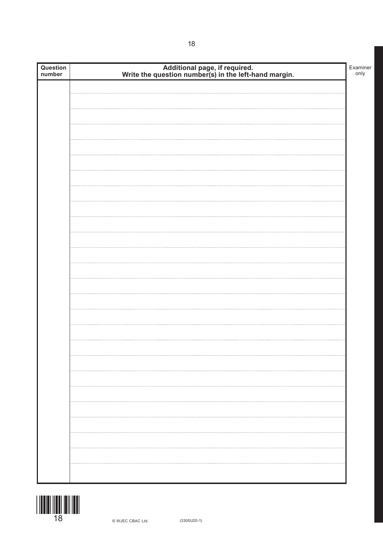| Question<br>number | Additional page, if required.<br>Write the question number(s) in the left-hand margin. | Examiner<br>only |
|--------------------|----------------------------------------------------------------------------------------|------------------|
|                    |                                                                                        |                  |
|                    |                                                                                        |                  |
|                    |                                                                                        |                  |
|                    |                                                                                        |                  |
|                    |                                                                                        |                  |
|                    |                                                                                        |                  |
|                    |                                                                                        |                  |
|                    |                                                                                        |                  |
|                    |                                                                                        |                  |
|                    |                                                                                        |                  |
|                    |                                                                                        |                  |
|                    |                                                                                        |                  |
|                    |                                                                                        |                  |
|                    |                                                                                        |                  |
|                    |                                                                                        |                  |
|                    |                                                                                        |                  |
|                    |                                                                                        |                  |
|                    |                                                                                        |                  |
|                    |                                                                                        |                  |
|                    |                                                                                        |                  |
|                    |                                                                                        |                  |
|                    |                                                                                        |                  |
|                    |                                                                                        |                  |
|                    |                                                                                        |                  |
|                    |                                                                                        |                  |
|                    |                                                                                        |                  |
|                    |                                                                                        |                  |
|                    |                                                                                        |                  |
|                    |                                                                                        |                  |
|                    |                                                                                        |                  |
|                    |                                                                                        |                  |
|                    |                                                                                        |                  |
|                    |                                                                                        |                  |
|                    |                                                                                        |                  |
|                    |                                                                                        |                  |
|                    |                                                                                        |                  |
|                    |                                                                                        |                  |
|                    |                                                                                        |                  |
|                    |                                                                                        |                  |
|                    |                                                                                        |                  |

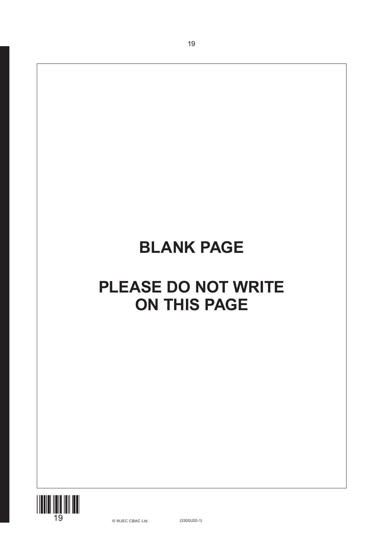## **BLANK PAGE**

19

## **PLEASE DO NOT WRITE ON THIS PAGE**